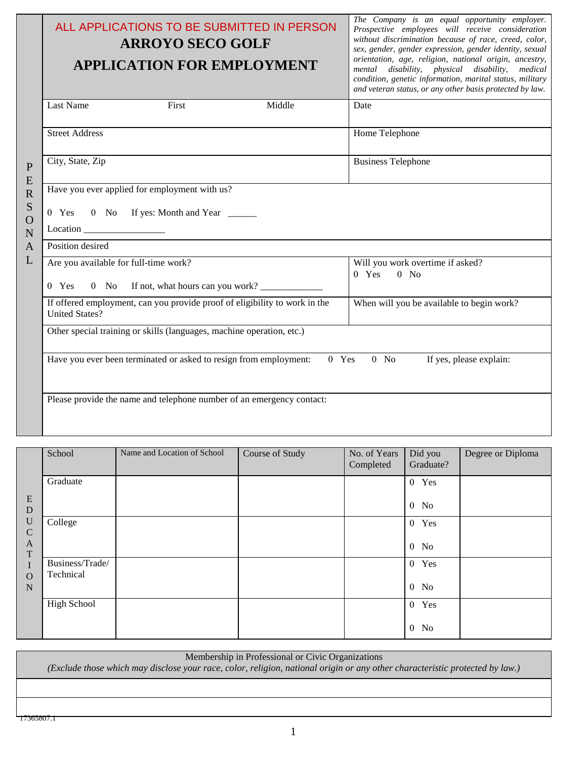|                       | ALL APPLICATIONS TO BE SUBMITTED IN PERSON<br><b>ARROYO SECO GOLF</b><br><b>APPLICATION FOR EMPLOYMENT</b> | The Company is an equal opportunity employer.<br>Prospective employees will receive consideration<br>without discrimination because of race, creed, color,<br>sex, gender, gender expression, gender identity, sexual<br>orientation, age, religion, national origin, ancestry,<br>mental disability, physical disability, medical<br>condition, genetic information, marital status, military<br>and veteran status, or any other basis protected by law. |  |  |  |  |
|-----------------------|------------------------------------------------------------------------------------------------------------|------------------------------------------------------------------------------------------------------------------------------------------------------------------------------------------------------------------------------------------------------------------------------------------------------------------------------------------------------------------------------------------------------------------------------------------------------------|--|--|--|--|
|                       | Last Name<br>First<br>Middle                                                                               | Date                                                                                                                                                                                                                                                                                                                                                                                                                                                       |  |  |  |  |
|                       | <b>Street Address</b>                                                                                      | Home Telephone                                                                                                                                                                                                                                                                                                                                                                                                                                             |  |  |  |  |
| $\mathbf P$<br>E      | City, State, Zip                                                                                           | <b>Business Telephone</b>                                                                                                                                                                                                                                                                                                                                                                                                                                  |  |  |  |  |
| $\overline{\text{R}}$ | Have you ever applied for employment with us?                                                              |                                                                                                                                                                                                                                                                                                                                                                                                                                                            |  |  |  |  |
| S                     | 0 Yes 0 No If yes: Month and Year _____                                                                    |                                                                                                                                                                                                                                                                                                                                                                                                                                                            |  |  |  |  |
| $\Omega$<br>N         |                                                                                                            |                                                                                                                                                                                                                                                                                                                                                                                                                                                            |  |  |  |  |
| A                     | Position desired                                                                                           |                                                                                                                                                                                                                                                                                                                                                                                                                                                            |  |  |  |  |
| L                     | Are you available for full-time work?                                                                      | Will you work overtime if asked?<br>$0$ Yes<br>$0$ No                                                                                                                                                                                                                                                                                                                                                                                                      |  |  |  |  |
|                       | 0 No If not, what hours can you work?<br>$0$ Yes                                                           |                                                                                                                                                                                                                                                                                                                                                                                                                                                            |  |  |  |  |
|                       | If offered employment, can you provide proof of eligibility to work in the<br><b>United States?</b>        | When will you be available to begin work?                                                                                                                                                                                                                                                                                                                                                                                                                  |  |  |  |  |
|                       | Other special training or skills (languages, machine operation, etc.)                                      |                                                                                                                                                                                                                                                                                                                                                                                                                                                            |  |  |  |  |
|                       | Have you ever been terminated or asked to resign from employment:                                          | $0$ Yes<br>$0$ No<br>If yes, please explain:                                                                                                                                                                                                                                                                                                                                                                                                               |  |  |  |  |
|                       | Please provide the name and telephone number of an emergency contact:                                      |                                                                                                                                                                                                                                                                                                                                                                                                                                                            |  |  |  |  |

|                              | School                       | Name and Location of School | Course of Study | No. of Years<br>Completed | Did you<br>Graduate? | Degree or Diploma |
|------------------------------|------------------------------|-----------------------------|-----------------|---------------------------|----------------------|-------------------|
|                              | Graduate                     |                             |                 |                           | 0 Yes                |                   |
| E<br>D                       |                              |                             |                 |                           | $0$ No               |                   |
| $\mathbf U$<br>$\mathcal{C}$ | College                      |                             |                 |                           | 0 Yes                |                   |
| A<br>T                       |                              |                             |                 |                           | $0$ No               |                   |
|                              | Business/Trade/<br>Technical |                             |                 |                           | 0 Yes                |                   |
| $\Omega$<br>$\mathbf N$      |                              |                             |                 |                           | $0$ No               |                   |
|                              | <b>High School</b>           |                             |                 |                           | 0 Yes                |                   |
|                              |                              |                             |                 |                           | $0$ No               |                   |

## Membership in Professional or Civic Organizations

*(Exclude those which may disclose your race, color, religion, national origin or any other characteristic protected by law.)*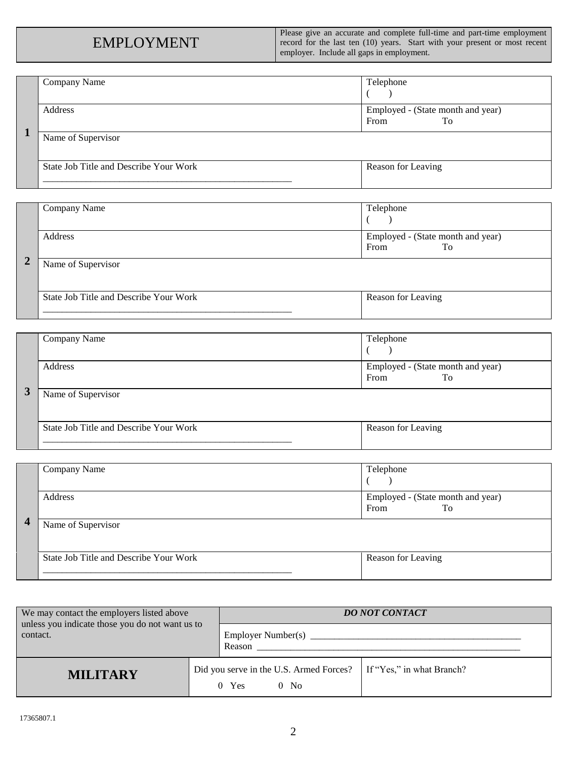Please give an accurate and complete full-time and part-time employment record for the last ten (10) years. Start with your present or most recent employer. Include all gaps in employment.

|   | Company Name                           | Telephone                         |
|---|----------------------------------------|-----------------------------------|
|   |                                        |                                   |
|   | Address                                | Employed - (State month and year) |
|   |                                        | From<br>To                        |
| 1 | Name of Supervisor                     |                                   |
|   | State Job Title and Describe Your Work | Reason for Leaving                |
|   |                                        |                                   |

|                | Company Name                           | Telephone                                       |
|----------------|----------------------------------------|-------------------------------------------------|
| $\overline{2}$ | Address                                | Employed - (State month and year)<br>From<br>To |
|                | Name of Supervisor                     |                                                 |
|                | State Job Title and Describe Your Work | Reason for Leaving                              |

| Company Name                           | Telephone                                       |
|----------------------------------------|-------------------------------------------------|
| Address                                | Employed - (State month and year)<br>To<br>From |
| Name of Supervisor                     |                                                 |
| State Job Title and Describe Your Work | Reason for Leaving                              |

| $\overline{\mathbf{4}}$ | Company Name                           | Telephone                                       |
|-------------------------|----------------------------------------|-------------------------------------------------|
|                         | Address                                | Employed - (State month and year)<br>From<br>To |
|                         | Name of Supervisor                     |                                                 |
|                         | State Job Title and Describe Your Work | Reason for Leaving                              |

| We may contact the employers listed above                   |  | <b>DO NOT CONTACT</b>                                         |                           |  |
|-------------------------------------------------------------|--|---------------------------------------------------------------|---------------------------|--|
| unless you indicate those you do not want us to<br>contact. |  | Employer Number(s)                                            |                           |  |
|                                                             |  | Reason                                                        |                           |  |
| <b>MILITARY</b>                                             |  | Did you serve in the U.S. Armed Forces?<br>Yes<br>$0$ No<br>0 | If "Yes," in what Branch? |  |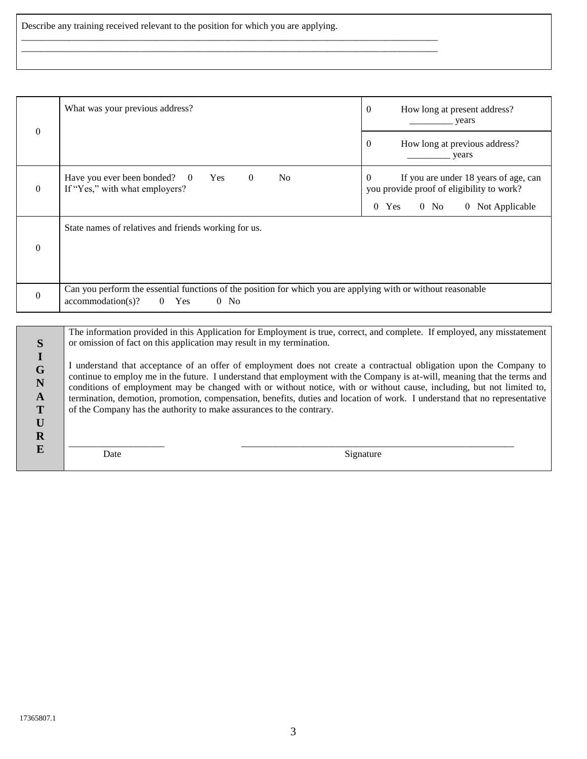Describe any training received relevant to the position for which you are applying.

\_\_\_\_\_\_\_\_\_\_\_\_\_\_\_\_\_\_\_\_\_\_\_\_\_\_\_\_\_\_\_\_\_\_\_\_\_\_\_\_\_\_\_\_\_\_\_\_\_\_\_\_\_\_\_\_\_\_\_\_\_\_\_\_\_\_\_\_\_\_\_\_\_\_\_\_\_\_\_\_\_\_\_\_\_\_\_ \_\_\_\_\_\_\_\_\_\_\_\_\_\_\_\_\_\_\_\_\_\_\_\_\_\_\_\_\_\_\_\_\_\_\_\_\_\_\_\_\_\_\_\_\_\_\_\_\_\_\_\_\_\_\_\_\_\_\_\_\_\_\_\_\_\_\_\_\_\_\_\_\_\_\_\_\_\_\_\_\_\_\_\_\_\_\_

| $\theta$                                                                                          | What was your previous address?                                                                                                                                                                                                                                                                                                                                                                                                                                                                                                                                                                                                                                                                                                                                                       | $\boldsymbol{0}$<br>How long at present address?<br><i>years</i>                                                                        |
|---------------------------------------------------------------------------------------------------|---------------------------------------------------------------------------------------------------------------------------------------------------------------------------------------------------------------------------------------------------------------------------------------------------------------------------------------------------------------------------------------------------------------------------------------------------------------------------------------------------------------------------------------------------------------------------------------------------------------------------------------------------------------------------------------------------------------------------------------------------------------------------------------|-----------------------------------------------------------------------------------------------------------------------------------------|
|                                                                                                   |                                                                                                                                                                                                                                                                                                                                                                                                                                                                                                                                                                                                                                                                                                                                                                                       | $\boldsymbol{0}$<br>How long at previous address?<br>years                                                                              |
| $\mathbf{0}$                                                                                      | Have you ever been bonded?<br>Yes<br>N <sub>o</sub><br>$\Omega$<br>$\overline{0}$<br>If "Yes," with what employers?                                                                                                                                                                                                                                                                                                                                                                                                                                                                                                                                                                                                                                                                   | If you are under 18 years of age, can<br>$\Omega$<br>you provide proof of eligibility to work?<br>$0$ No<br>0 Not Applicable<br>$0$ Yes |
| $\mathbf{0}$                                                                                      | State names of relatives and friends working for us.                                                                                                                                                                                                                                                                                                                                                                                                                                                                                                                                                                                                                                                                                                                                  |                                                                                                                                         |
| $\mathbf{0}$                                                                                      | Can you perform the essential functions of the position for which you are applying with or without reasonable<br>accommodation(s)?<br>$\overline{0}$<br>Yes<br>$0$ No                                                                                                                                                                                                                                                                                                                                                                                                                                                                                                                                                                                                                 |                                                                                                                                         |
| S<br>$\mathbf I$<br>$\mathbf G$<br>$\mathbf N$<br>$\mathbf{A}$<br>T<br>$\mathbf U$<br>$\mathbf R$ | The information provided in this Application for Employment is true, correct, and complete. If employed, any misstatement<br>or omission of fact on this application may result in my termination.<br>I understand that acceptance of an offer of employment does not create a contractual obligation upon the Company to<br>continue to employ me in the future. I understand that employment with the Company is at-will, meaning that the terms and<br>conditions of employment may be changed with or without notice, with or without cause, including, but not limited to,<br>termination, demotion, promotion, compensation, benefits, duties and location of work. I understand that no representative<br>of the Company has the authority to make assurances to the contrary. |                                                                                                                                         |
| E                                                                                                 | Date                                                                                                                                                                                                                                                                                                                                                                                                                                                                                                                                                                                                                                                                                                                                                                                  | Signature                                                                                                                               |